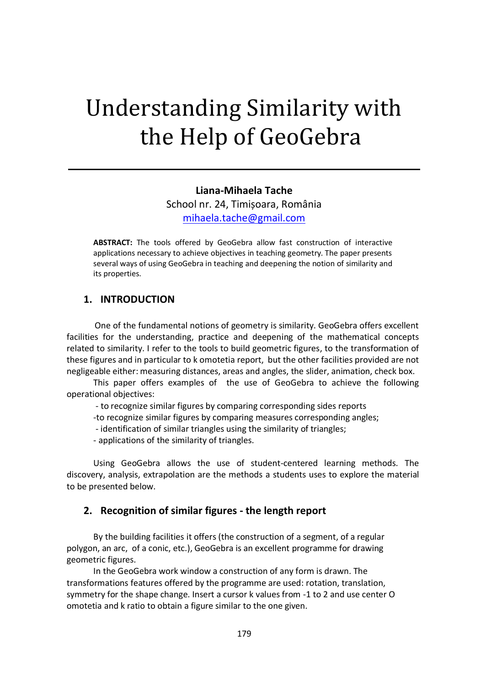# Understanding Similarity with the Help of GeoGebra

#### **Liana-Mihaela Tache**

School nr. 24, Timișoara, România [mihaela.tache@gmail.com](mailto:mihaela.tache@gmail.com)

**ABSTRACT:** The tools offered by GeoGebra allow fast construction of interactive applications necessary to achieve objectives in teaching geometry. The paper presents several ways of using GeoGebra in teaching and deepening the notion of similarity and its properties.

#### **1. INTRODUCTION**

 One of the fundamental notions of geometry is similarity. GeoGebra offers excellent facilities for the understanding, practice and deepening of the mathematical concepts related to similarity. I refer to the tools to build geometric figures, to the transformation of these figures and in particular to k omotetia report, but the other facilities provided are not negligeable either: measuring distances, areas and angles, the slider, animation, check box.

This paper offers examples of the use of GeoGebra to achieve the following operational objectives:

- to recognize similar figures by comparing corresponding sides reports

-to recognize similar figures by comparing measures corresponding angles;

- identification of similar triangles using the similarity of triangles;

- applications of the similarity of triangles.

Using GeoGebra allows the use of student-centered learning methods. The discovery, analysis, extrapolation are the methods a students uses to explore the material to be presented below.

#### **2. Recognition of similar figures - the length report**

By the building facilities it offers (the construction of a segment, of a regular polygon, an arc, of a conic, etc.), GeoGebra is an excellent programme for drawing geometric figures.

In the GeoGebra work window a construction of any form is drawn. The transformations features offered by the programme are used: rotation, translation, symmetry for the shape change. Insert a cursor k values from -1 to 2 and use center O omotetia and k ratio to obtain a figure similar to the one given.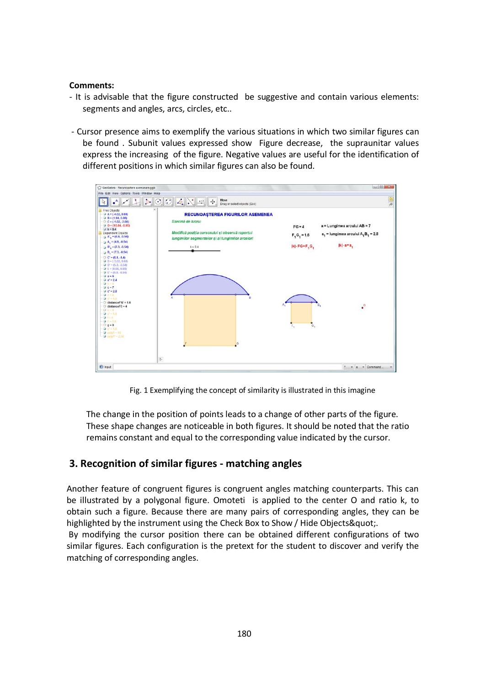#### **Comments:**

- It is advisable that the figure constructed be suggestive and contain various elements: segments and angles, arcs, circles, etc..
- Cursor presence aims to exemplify the various situations in which two similar figures can be found . Subunit values expressed show Figure decrease, the supraunitar values express the increasing of the figure. Negative values are useful for the identification of different positions in which similar figures can also be found.



Fig. 1 Exemplifying the concept of similarity is illustrated in this imagine

The change in the position of points leads to a change of other parts of the figure. These shape changes are noticeable in both figures. It should be noted that the ratio remains constant and equal to the corresponding value indicated by the cursor.

## **3. Recognition of similar figures - matching angles**

Another feature of congruent figures is congruent angles matching counterparts. This can be illustrated by a polygonal figure. Omoteti is applied to the center O and ratio k, to obtain such a figure. Because there are many pairs of corresponding angles, they can be highlighted by the instrument using the Check Box to Show / Hide Objects".

By modifying the cursor position there can be obtained different configurations of two similar figures. Each configuration is the pretext for the student to discover and verify the matching of corresponding angles.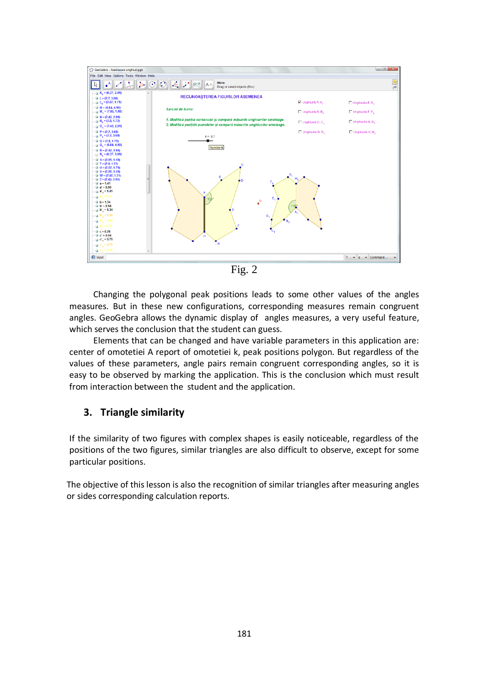

Changing the polygonal peak positions leads to some other values of the angles measures. But in these new configurations, corresponding measures remain congruent angles. GeoGebra allows the dynamic display of angles measures, a very useful feature, which serves the conclusion that the student can guess.

Elements that can be changed and have variable parameters in this application are: center of omotetiei A report of omotetiei k, peak positions polygon. But regardless of the values of these parameters, angle pairs remain congruent corresponding angles, so it is easy to be observed by marking the application. This is the conclusion which must result from interaction between the student and the application.

## **3. Triangle similarity**

If the similarity of two figures with complex shapes is easily noticeable, regardless of the positions of the two figures, similar triangles are also difficult to observe, except for some particular positions.

The objective of this lesson is also the recognition of similar triangles after measuring angles or sides corresponding calculation reports.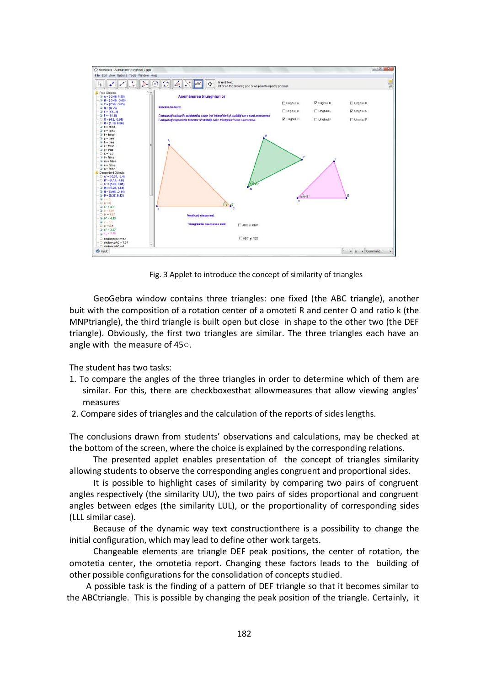

Fig. 3 Applet to introduce the concept of similarity of triangles

GeoGebra window contains three triangles: one fixed (the ABC triangle), another buit with the composition of a rotation center of a omoteti R and center O and ratio k (the MNPtriangle), the third triangle is built open but close in shape to the other two (the DEF triangle). Obviously, the first two triangles are similar. The three triangles each have an angle with the measure of 45○.

The student has two tasks:

- 1. To compare the angles of the three triangles in order to determine which of them are similar. For this, there are checkboxesthat allowmeasures that allow viewing angles' measures
- 2. Compare sides of triangles and the calculation of the reports of sides lengths.

The conclusions drawn from students' observations and calculations, may be checked at the bottom of the screen, where the choice is explained by the corresponding relations.

The presented applet enables presentation of the concept of triangles similarity allowing students to observe the corresponding angles congruent and proportional sides.

It is possible to highlight cases of similarity by comparing two pairs of congruent angles respectively (the similarity UU), the two pairs of sides proportional and congruent angles between edges (the similarity LUL), or the proportionality of corresponding sides (LLL similar case).

Because of the dynamic way text constructionthere is a possibility to change the initial configuration, which may lead to define other work targets.

Changeable elements are triangle DEF peak positions, the center of rotation, the omotetia center, the omotetia report. Changing these factors leads to the building of other possible configurations for the consolidation of concepts studied.

 A possible task is the finding of a pattern of DEF triangle so that it becomes similar to the ABCtriangle. This is possible by changing the peak position of the triangle. Certainly, it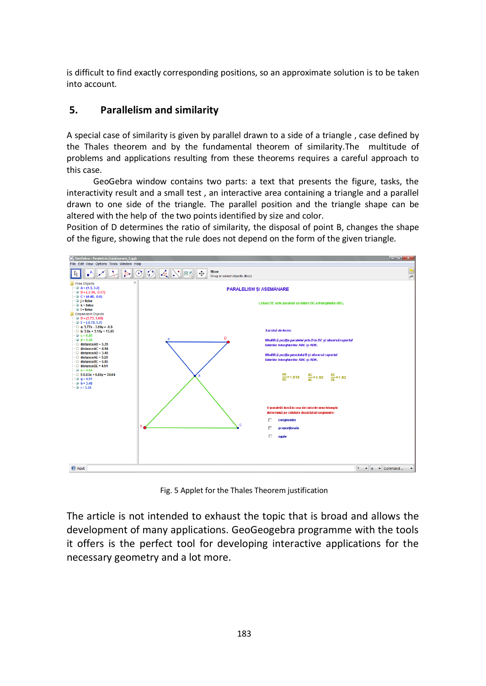is difficult to find exactly corresponding positions, so an approximate solution is to be taken into account.

## **5. Parallelism and similarity**

A special case of similarity is given by parallel drawn to a side of a triangle , case defined by the Thales theorem and by the fundamental theorem of similarity.The multitude of problems and applications resulting from these theorems requires a careful approach to this case.

GeoGebra window contains two parts: a text that presents the figure, tasks, the interactivity result and a small test , an interactive area containing a triangle and a parallel drawn to one side of the triangle. The parallel position and the triangle shape can be altered with the help of the two points identified by size and color.

Position of D determines the ratio of similarity, the disposal of point B, changes the shape of the figure, showing that the rule does not depend on the form of the given triangle.



Fig. 5 Applet for the Thales Theorem justification

The article is not intended to exhaust the topic that is broad and allows the development of many applications. GeoGeogebra programme with the tools it offers is the perfect tool for developing interactive applications for the necessary geometry and a lot more.